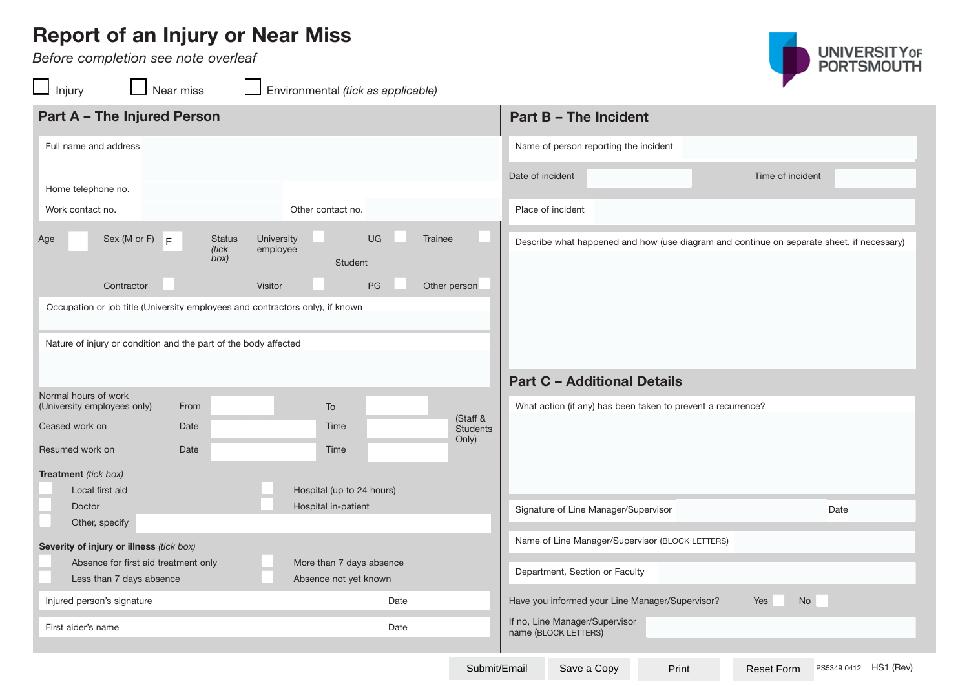## **Report of an Injury or Near Miss**

*Before completion see note overleaf* 

UNIVERSITYOF<br>PORTSMOUTH

| Injury                                                                                                                                           | Near miss                      |                        | Environmental (tick as applicable) |                              |                                                                                           |                  | $\sim$ |  |  |
|--------------------------------------------------------------------------------------------------------------------------------------------------|--------------------------------|------------------------|------------------------------------|------------------------------|-------------------------------------------------------------------------------------------|------------------|--------|--|--|
| <b>Part A - The Injured Person</b>                                                                                                               |                                |                        |                                    | <b>Part B - The Incident</b> |                                                                                           |                  |        |  |  |
| Full name and address                                                                                                                            |                                |                        |                                    |                              | Name of person reporting the incident                                                     |                  |        |  |  |
| Home telephone no.                                                                                                                               |                                |                        |                                    |                              | Date of incident                                                                          | Time of incident |        |  |  |
| Work contact no.                                                                                                                                 |                                |                        | Other contact no.                  | Place of incident            |                                                                                           |                  |        |  |  |
| Sex (M or F) $\mathsf{F}$<br>Age                                                                                                                 | <b>Status</b><br>(tick<br>box) | University<br>employee | <b>UG</b><br>Student               | Trainee                      | Describe what happened and how (use diagram and continue on separate sheet, if necessary) |                  |        |  |  |
| Contractor                                                                                                                                       |                                | Visitor                | PG                                 | Other person                 |                                                                                           |                  |        |  |  |
| Occupation or job title (University employees and contractors only), if known<br>Nature of injury or condition and the part of the body affected |                                |                        |                                    |                              |                                                                                           |                  |        |  |  |
|                                                                                                                                                  |                                |                        |                                    |                              | <b>Part C - Additional Details</b>                                                        |                  |        |  |  |
| Normal hours of work                                                                                                                             |                                |                        |                                    |                              |                                                                                           |                  |        |  |  |
| (University employees only)                                                                                                                      | From                           |                        | To                                 | (Staff &                     | What action (if any) has been taken to prevent a recurrence?                              |                  |        |  |  |
| Ceased work on                                                                                                                                   | Date                           |                        | Time                               | <b>Students</b>              |                                                                                           |                  |        |  |  |
| Resumed work on                                                                                                                                  | Date                           |                        | Time                               | Only)                        |                                                                                           |                  |        |  |  |
| Treatment (tick box)                                                                                                                             |                                |                        |                                    |                              |                                                                                           |                  |        |  |  |
| Local first aid                                                                                                                                  |                                |                        | Hospital (up to 24 hours)          |                              |                                                                                           |                  |        |  |  |
| Doctor                                                                                                                                           |                                |                        | Hospital in-patient                |                              | Signature of Line Manager/Supervisor                                                      |                  | Date   |  |  |
| Other, specify                                                                                                                                   |                                |                        |                                    |                              |                                                                                           |                  |        |  |  |

|                                                                  |      |                           |      |                                                        |                                | <b>Part C - Additional Details</b>                           |       |            |      |                       |
|------------------------------------------------------------------|------|---------------------------|------|--------------------------------------------------------|--------------------------------|--------------------------------------------------------------|-------|------------|------|-----------------------|
| Normal hours of work<br>(University employees only)              | From | To                        |      |                                                        |                                | What action (if any) has been taken to prevent a recurrence? |       |            |      |                       |
| Ceased work on                                                   | Date | Time                      |      | (Staff &<br><b>Students</b><br>Only)                   |                                |                                                              |       |            |      |                       |
| Resumed work on                                                  | Date | Time                      |      |                                                        |                                |                                                              |       |            |      |                       |
| <b>Treatment</b> (tick box)                                      |      |                           |      |                                                        |                                |                                                              |       |            |      |                       |
| Local first aid                                                  |      | Hospital (up to 24 hours) |      |                                                        |                                |                                                              |       |            |      |                       |
| <b>Doctor</b>                                                    |      | Hospital in-patient       |      |                                                        |                                | Signature of Line Manager/Supervisor                         |       |            | Date |                       |
| Other, specify                                                   |      |                           |      |                                                        |                                |                                                              |       |            |      |                       |
| Severity of injury or illness (tick box)                         |      |                           |      |                                                        |                                | Name of Line Manager/Supervisor (BLOCK LETTERS)              |       |            |      |                       |
| Absence for first aid treatment only<br>More than 7 days absence |      |                           |      |                                                        |                                |                                                              |       |            |      |                       |
| Less than 7 days absence                                         |      | Absence not yet known     |      |                                                        | Department, Section or Faculty |                                                              |       |            |      |                       |
| Injured person's signature                                       |      |                           | Date |                                                        |                                | Have you informed your Line Manager/Supervisor?              |       | Yes<br>No  |      |                       |
| First aider's name<br>Date                                       |      |                           |      | If no, Line Manager/Supervisor<br>name (BLOCK LETTERS) |                                |                                                              |       |            |      |                       |
|                                                                  |      |                           |      |                                                        |                                |                                                              |       |            |      |                       |
|                                                                  |      |                           |      | Submit/Email                                           |                                | Save a Copy                                                  | Print | Reset Form |      | PS5349 0412 HS1 (Rev) |